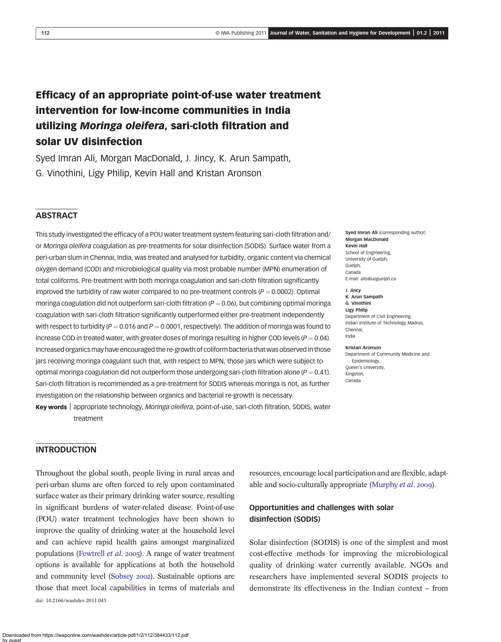# Efficacy of an appropriate point-of-use water treatment intervention for low-income communities in India utilizing Moringa oleifera, sari-cloth filtration and solar UV disinfection

Syed Imran Ali, Morgan MacDonald, J. Jincy, K. Arun Sampath, G. Vinothini, Ligy Philip, Kevin Hall and Kristan Aronson

# **ABSTRACT**

This study investigated the efficacy of a POU water treatment system featuring sari-cloth filtration and/ or Moringa oleifera coagulation as pre-treatments for solar disinfection (SODIS). Surface water from a peri-urban slum in Chennai, India, was treated and analysed for turbidity, organic content via chemical oxygen demand (COD) and microbiological quality via most probable number (MPN) enumeration of total coliforms. Pre-treatment with both moringa coagulation and sari-cloth filtration significantly improved the turbidity of raw water compared to no pre-treatment controls ( $P = 0.0002$ ). Optimal moringa coagulation did not outperform sari-cloth filtration  $(P = 0.06)$ , but combining optimal moringa coagulation with sari-cloth filtration significantly outperformed either pre-treatment independently with respect to turbidity ( $P = 0.016$  and  $P = 0.0001$ , respectively). The addition of moringa was found to increase COD in treated water, with greater doses of moringa resulting in higher COD levels ( $P = 0.04$ ). Increased organics may have encouraged the re-growth of coliform bacteria that was observed in those jars receiving moringa coagulant such that, with respect to MPN, those jars which were subject to optimal moringa coagulation did not outperform those undergoing sari-cloth filtration alone ( $P = 0.41$ ). Sari-cloth filtration is recommended as a pre-treatment for SODIS whereas moringa is not, as further investigation on the relationship between organics and bacterial re-growth is necessary.

Key words <sup>|</sup> appropriate technology, Moringa oleifera, point-of-use, sari-cloth filtration, SODIS, water treatment

# **INTRODUCTION**

Throughout the global south, people living in rural areas and peri-urban slums are often forced to rely upon contaminated surface water as their primary drinking water source, resulting in significant burdens of water-related disease. Point-of-use (POU) water treatment technologies have been shown to improve the quality of drinking water at the household level and can achieve rapid health gains amongst marginalized populations ([Fewtrell](#page-10-0) *et al.* 2005). A range of water treatment options is available for applications at both the household and community level [\(Sobsey](#page-11-0) 2002). Sustainable options are those that meet local capabilities in terms of materials and doi: 10.2166/washdev.2011.043

Morgan MacDonald Kevin Hall School of Engineering, University of Guelph, Guelph, Canada E-mail: [alis@uoguelph.ca](mailto:alis@uoguelph.ca) J. Jincy

Sved Imran Ali (corresponding author)

K. Arun Sampath G. Vinothini Ligy Philip Department of Civil Engineering, Indian Institute of Technology Madras, Chennai, India

#### Kristan Aronson

Department of Community Medicine and Epidemiology, Queen's University, Kingston, Canada

resources, encourage local participation and are flexible, adapt-able and socio-culturally appropriate [\(Murphy](#page-11-0) et al. 2009).

# Opportunities and challenges with solar disinfection (SODIS)

Solar disinfection (SODIS) is one of the simplest and most cost-effective methods for improving the microbiological quality of drinking water currently available. NGOs and researchers have implemented several SODIS projects to demonstrate its effectiveness in the Indian context – from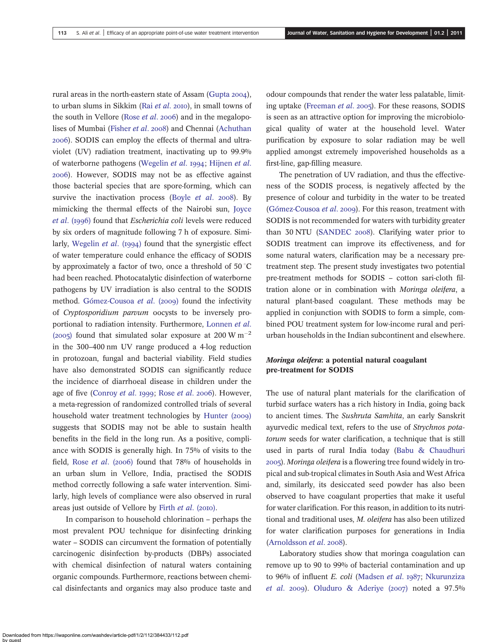rural areas in the north-eastern state of Assam [\(Gupta](#page-10-0) 2004), to urban slums in Sikkim (Rai [et al](#page-11-0). 2010), in small towns of the south in Vellore ([Rose](#page-11-0) *et al.* 2006) and in the megalopo-lises of Mumbai [\(Fisher](#page-10-0) et al. 2008) and Chennai ([Achuthan](#page-10-0) ). SODIS can employ the effects of thermal and ultraviolet (UV) radiation treatment, inactivating up to 99.9% of waterborne pathogens ([Wegelin](#page-11-0) et al. 1994; [Hijnen](#page-10-0) et al. ). However, SODIS may not be as effective against those bacterial species that are spore-forming, which can survive the inactivation process ([Boyle](#page-10-0)  $et$  al. 2008). By mimicking the thermal effects of the Nairobi sun, [Joyce](#page-10-0) et al. (1996) found that Escherichia coli levels were reduced by six orders of magnitude following 7 h of exposure. Simi-larly, [Wegelin](#page-11-0) *et al.* ( $1994$ ) found that the synergistic effect of water temperature could enhance the efficacy of SODIS by approximately a factor of two, once a threshold of 50  $^{\circ} \mathrm{C}$ had been reached. Photocatalytic disinfection of waterborne pathogens by UV irradiation is also central to the SODIS method. [Gómez-Cousoa](#page-10-0) et al. (2009) found the infectivity of Cryptosporidium parvum oocysts to be inversely proportional to radiation intensity. Furthermore, [Lonnen](#page-10-0) et al. (2005) found that simulated solar exposure at 200 W  $\text{m}^{-2}$ in the 300–400 nm UV range produced a 4-log reduction in protozoan, fungal and bacterial viability. Field studies have also demonstrated SODIS can significantly reduce the incidence of diarrhoeal disease in children under the age of five ([Conroy](#page-10-0) et al. 1999; [Rose](#page-11-0) et al. 2006). However, a meta-regression of randomized controlled trials of several household water treatment technologies by [Hunter \(](#page-10-0)2009) suggests that SODIS may not be able to sustain health benefits in the field in the long run. As a positive, compliance with SODIS is generally high. In 75% of visits to the field, [Rose](#page-11-0) et al. (2006) found that  $78%$  of households in an urban slum in Vellore, India, practised the SODIS method correctly following a safe water intervention. Similarly, high levels of compliance were also observed in rural areas just outside of Vellore by [Firth](#page-10-0) et al. (2010).

In comparison to household chlorination – perhaps the most prevalent POU technique for disinfecting drinking water – SODIS can circumvent the formation of potentially carcinogenic disinfection by-products (DBPs) associated with chemical disinfection of natural waters containing organic compounds. Furthermore, reactions between chemical disinfectants and organics may also produce taste and

odour compounds that render the water less palatable, limit-ing uptake ([Freeman](#page-10-0) et al. 2005). For these reasons, SODIS is seen as an attractive option for improving the microbiological quality of water at the household level. Water purification by exposure to solar radiation may be well applied amongst extremely impoverished households as a first-line, gap-filling measure.

The penetration of UV radiation, and thus the effectiveness of the SODIS process, is negatively affected by the presence of colour and turbidity in the water to be treated [\(Gómez-Cousoa](#page-10-0) et al. 2009). For this reason, treatment with SODIS is not recommended for waters with turbidity greater than  $30$  NTU ([SANDEC](#page-11-0) 2008). Clarifying water prior to SODIS treatment can improve its effectiveness, and for some natural waters, clarification may be a necessary pretreatment step. The present study investigates two potential pre-treatment methods for SODIS – cotton sari-cloth filtration alone or in combination with Moringa oleifera, a natural plant-based coagulant. These methods may be applied in conjunction with SODIS to form a simple, combined POU treatment system for low-income rural and periurban households in the Indian subcontinent and elsewhere.

# Moringa oleifera: a potential natural coagulant pre-treatment for SODIS

The use of natural plant materials for the clarification of turbid surface waters has a rich history in India, going back to ancient times. The Sushruta Samhita, an early Sanskrit ayurvedic medical text, refers to the use of Strychnos potatorum seeds for water clarification, a technique that is still used in parts of rural India today [\(Babu & Chaudhuri](#page-10-0) ). Moringa oleifera is a flowering tree found widely in tropical and sub-tropical climates in South Asia and West Africa and, similarly, its desiccated seed powder has also been observed to have coagulant properties that make it useful for water clarification. For this reason, in addition to its nutritional and traditional uses, M. oleifera has also been utilized for water clarification purposes for generations in India [\(Arnoldsson](#page-10-0) et al. 2008).

Laboratory studies show that moringa coagulation can remove up to 90 to 99% of bacterial contamination and up to 96% of influent E. coli ([Madsen](#page-11-0) et al. 1987; [Nkurunziza](#page-11-0) [et al](#page-11-0). 2009). [Oluduro & Aderiye \(](#page-11-0)2007) noted a  $97.5\%$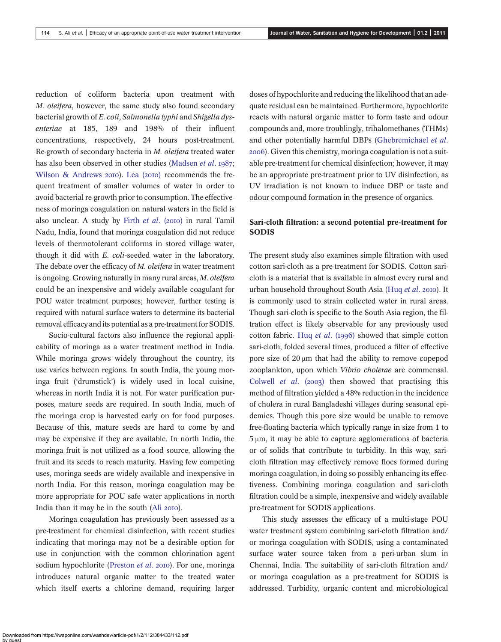reduction of coliform bacteria upon treatment with M. oleifera, however, the same study also found secondary bacterial growth of E. coli, Salmonella typhi and Shigella dysenteriae at 185, 189 and 198% of their influent concentrations, respectively, 24 hours post-treatment. Re-growth of secondary bacteria in M. oleifera treated water has also been observed in other studies [\(Madsen](#page-11-0) et al. 1987; [Wilson & Andrews](#page-11-0) 2010). [Lea \(](#page-10-0)2010) recommends the frequent treatment of smaller volumes of water in order to avoid bacterial re-growth prior to consumption. The effectiveness of moringa coagulation on natural waters in the field is also unclear. A study by [Firth](#page-10-0)  $et$   $al.$  (2010) in rural Tamil Nadu, India, found that moringa coagulation did not reduce levels of thermotolerant coliforms in stored village water, though it did with E. coli-seeded water in the laboratory. The debate over the efficacy of M. oleifera in water treatment is ongoing. Growing naturally in many rural areas, M. oleifera could be an inexpensive and widely available coagulant for POU water treatment purposes; however, further testing is required with natural surface waters to determine its bacterial removal efficacy and its potential as a pre-treatment for SODIS.

Socio-cultural factors also influence the regional applicability of moringa as a water treatment method in India. While moringa grows widely throughout the country, its use varies between regions. In south India, the young moringa fruit ('drumstick') is widely used in local cuisine, whereas in north India it is not. For water purification purposes, mature seeds are required. In south India, much of the moringa crop is harvested early on for food purposes. Because of this, mature seeds are hard to come by and may be expensive if they are available. In north India, the moringa fruit is not utilized as a food source, allowing the fruit and its seeds to reach maturity. Having few competing uses, moringa seeds are widely available and inexpensive in north India. For this reason, moringa coagulation may be more appropriate for POU safe water applications in north India than it may be in the south (Ali 2010).

Moringa coagulation has previously been assessed as a pre-treatment for chemical disinfection, with recent studies indicating that moringa may not be a desirable option for use in conjunction with the common chlorination agent sodium hypochlorite [\(Preston](#page-11-0) et al. 2010). For one, moringa introduces natural organic matter to the treated water which itself exerts a chlorine demand, requiring larger doses of hypochlorite and reducing the likelihood that an adequate residual can be maintained. Furthermore, hypochlorite reacts with natural organic matter to form taste and odour compounds and, more troublingly, trihalomethanes (THMs) and other potentially harmful DBPs ([Ghebremichael](#page-10-0) et al. ). Given this chemistry, moringa coagulation is not a suitable pre-treatment for chemical disinfection; however, it may be an appropriate pre-treatment prior to UV disinfection, as UV irradiation is not known to induce DBP or taste and odour compound formation in the presence of organics.

# Sari-cloth filtration: a second potential pre-treatment for SODIS

The present study also examines simple filtration with used cotton sari-cloth as a pre-treatment for SODIS. Cotton saricloth is a material that is available in almost every rural and urban household throughout South Asia ([Huq](#page-10-0) et al. 2010). It is commonly used to strain collected water in rural areas. Though sari-cloth is specific to the South Asia region, the filtration effect is likely observable for any previously used cotton fabric. Hug *[et al](#page-10-0).* (1996) showed that simple cotton sari-cloth, folded several times, produced a filter of effective pore size of 20 μm that had the ability to remove copepod zooplankton, upon which Vibrio cholerae are commensal. [Colwell](#page-10-0) et al.  $(2003)$  then showed that practising this method of filtration yielded a 48% reduction in the incidence of cholera in rural Bangladeshi villages during seasonal epidemics. Though this pore size would be unable to remove free-floating bacteria which typically range in size from 1 to 5 μm, it may be able to capture agglomerations of bacteria or of solids that contribute to turbidity. In this way, saricloth filtration may effectively remove flocs formed during moringa coagulation, in doing so possibly enhancing its effectiveness. Combining moringa coagulation and sari-cloth filtration could be a simple, inexpensive and widely available pre-treatment for SODIS applications.

This study assesses the efficacy of a multi-stage POU water treatment system combining sari-cloth filtration and/ or moringa coagulation with SODIS, using a contaminated surface water source taken from a peri-urban slum in Chennai, India. The suitability of sari-cloth filtration and/ or moringa coagulation as a pre-treatment for SODIS is addressed. Turbidity, organic content and microbiological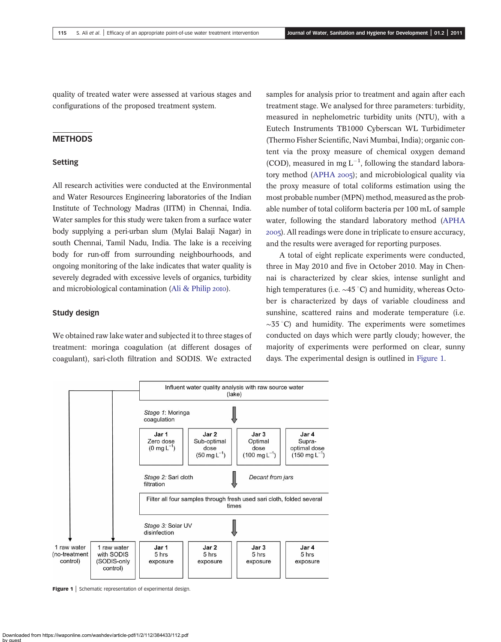quality of treated water were assessed at various stages and configurations of the proposed treatment system.

## **METHODS**

#### Setting

All research activities were conducted at the Environmental and Water Resources Engineering laboratories of the Indian Institute of Technology Madras (IITM) in Chennai, India. Water samples for this study were taken from a surface water body supplying a peri-urban slum (Mylai Balaji Nagar) in south Chennai, Tamil Nadu, India. The lake is a receiving body for run-off from surrounding neighbourhoods, and ongoing monitoring of the lake indicates that water quality is severely degraded with excessive levels of organics, turbidity and microbiological contamination [\(Ali & Philip](#page-10-0) 2010).

#### Study design

We obtained raw lake water and subjected it to three stages of treatment: moringa coagulation (at different dosages of coagulant), sari-cloth filtration and SODIS. We extracted samples for analysis prior to treatment and again after each treatment stage. We analysed for three parameters: turbidity, measured in nephelometric turbidity units (NTU), with a Eutech Instruments TB1000 Cyberscan WL Turbidimeter (Thermo Fisher Scientific, Navi Mumbai, India); organic content via the proxy measure of chemical oxygen demand (COD), measured in mg  $L^{-1}$ , following the standard labora-tory method ([APHA](#page-10-0)  $2005$ ); and microbiological quality via the proxy measure of total coliforms estimation using the most probable number (MPN) method, measured as the probable number of total coliform bacteria per 100 mL of sample water, following the standard laboratory method [\(APHA](#page-10-0) ). All readings were done in triplicate to ensure accuracy, and the results were averaged for reporting purposes.

A total of eight replicate experiments were conducted, three in May 2010 and five in October 2010. May in Chennai is characterized by clear skies, intense sunlight and high temperatures (i.e.  $\sim$ 45 °C) and humidity, whereas October is characterized by days of variable cloudiness and sunshine, scattered rains and moderate temperature (i.e.  $\sim$ 35 °C) and humidity. The experiments were sometimes conducted on days which were partly cloudy; however, the majority of experiments were performed on clear, sunny days. The experimental design is outlined in Figure 1.



Figure 1 | Schematic representation of experimental design.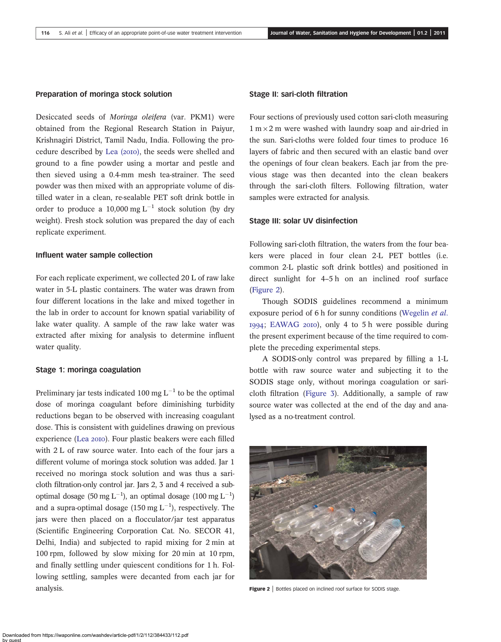#### Preparation of moringa stock solution

Desiccated seeds of Moringa oleifera (var. PKM1) were obtained from the Regional Research Station in Paiyur, Krishnagiri District, Tamil Nadu, India. Following the pro-cedure described by [Lea \(](#page-10-0)2010), the seeds were shelled and ground to a fine powder using a mortar and pestle and then sieved using a 0.4-mm mesh tea-strainer. The seed powder was then mixed with an appropriate volume of distilled water in a clean, re-sealable PET soft drink bottle in order to produce a 10,000 mg  $L^{-1}$  stock solution (by dry weight). Fresh stock solution was prepared the day of each replicate experiment.

#### Influent water sample collection

For each replicate experiment, we collected 20 L of raw lake water in 5-L plastic containers. The water was drawn from four different locations in the lake and mixed together in the lab in order to account for known spatial variability of lake water quality. A sample of the raw lake water was extracted after mixing for analysis to determine influent water quality.

#### Stage 1: moringa coagulation

Preliminary jar tests indicated 100 mg  $L^{-1}$  to be the optimal dose of moringa coagulant before diminishing turbidity reductions began to be observed with increasing coagulant dose. This is consistent with guidelines drawing on previous experience (Lea 2010). Four plastic beakers were each filled with 2 L of raw source water. Into each of the four jars a different volume of moringa stock solution was added. Jar 1 received no moringa stock solution and was thus a saricloth filtration-only control jar. Jars 2, 3 and 4 received a suboptimal dosage (50 mg L<sup>-1</sup>), an optimal dosage (100 mg L<sup>-1</sup>) and a supra-optimal dosage (150 mg  $L^{-1}$ ), respectively. The jars were then placed on a flocculator/jar test apparatus (Scientific Engineering Corporation Cat. No. SECOR 41, Delhi, India) and subjected to rapid mixing for 2 min at 100 rpm, followed by slow mixing for 20 min at 10 rpm, and finally settling under quiescent conditions for 1 h. Following settling, samples were decanted from each jar for analysis.

#### Stage II: sari-cloth filtration

Four sections of previously used cotton sari-cloth measuring  $1 m \times 2 m$  were washed with laundry soap and air-dried in the sun. Sari-cloths were folded four times to produce 16 layers of fabric and then secured with an elastic band over the openings of four clean beakers. Each jar from the previous stage was then decanted into the clean beakers through the sari-cloth filters. Following filtration, water samples were extracted for analysis.

#### Stage III: solar UV disinfection

Following sari-cloth filtration, the waters from the four beakers were placed in four clean 2-L PET bottles (i.e. common 2-L plastic soft drink bottles) and positioned in direct sunlight for 4–5 h on an inclined roof surface (Figure 2).

Though SODIS guidelines recommend a minimum exposure period of 6 h for sunny conditions ([Wegelin](#page-11-0) et al. 1994; [EAWAG](#page-10-0) 2010), only 4 to 5 h were possible during the present experiment because of the time required to complete the preceding experimental steps.

A SODIS-only control was prepared by filling a 1-L bottle with raw source water and subjecting it to the SODIS stage only, without moringa coagulation or saricloth filtration ([Figure 3](#page-5-0)). Additionally, a sample of raw source water was collected at the end of the day and analysed as a no-treatment control.



Figure 2 | Bottles placed on inclined roof surface for SODIS stage.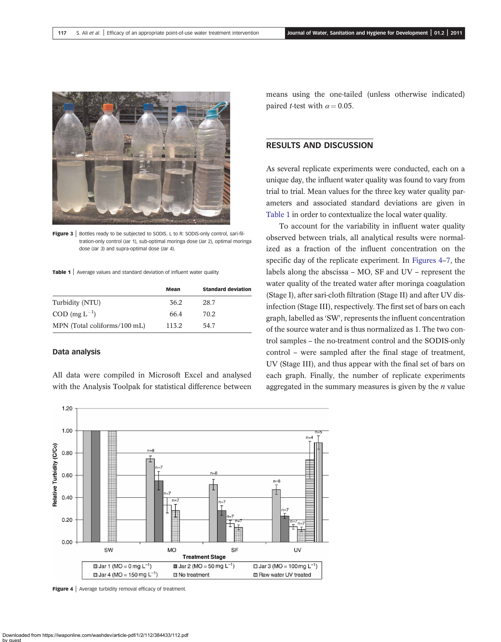<span id="page-5-0"></span>

Figure 3 | Bottles ready to be subjected to SODIS. L to R: SODIS-only control, sari-filtration-only control (Jar 1), sub-optimal moringa dose (Jar 2), optimal moringa dose (Jar 3) and supra-optimal dose (Jar 4).

Table 1 | Average values and standard deviation of influent water quality

|                                    | Mean  | <b>Standard deviation</b> |
|------------------------------------|-------|---------------------------|
| Turbidity (NTU)                    | 36.2  | 28.7                      |
| $\text{COD}$ (mg $\text{L}^{-1}$ ) | 66.4  | 70.2                      |
| MPN (Total coliforms/100 mL)       | 113.2 | 54.7                      |

#### Data analysis

All data were compiled in Microsoft Excel and analysed with the Analysis Toolpak for statistical difference between means using the one-tailed (unless otherwise indicated) paired *t*-test with  $\alpha = 0.05$ .

# RESULTS AND DISCUSSION

As several replicate experiments were conducted, each on a unique day, the influent water quality was found to vary from trial to trial. Mean values for the three key water quality parameters and associated standard deviations are given in Table 1 in order to contextualize the local water quality.

To account for the variability in influent water quality observed between trials, all analytical results were normalized as a fraction of the influent concentration on the specific day of the replicate experiment. In Figures 4–[7](#page-7-0), the labels along the abscissa – MO, SF and UV – represent the water quality of the treated water after moringa coagulation (Stage I), after sari-cloth filtration (Stage II) and after UV disinfection (Stage III), respectively. The first set of bars on each graph, labelled as 'SW', represents the influent concentration of the source water and is thus normalized as 1. The two control samples – the no-treatment control and the SODIS-only control – were sampled after the final stage of treatment, UV (Stage III), and thus appear with the final set of bars on each graph. Finally, the number of replicate experiments aggregated in the summary measures is given by the  $n$  value



Figure 4 | Average turbidity removal efficacy of treatment.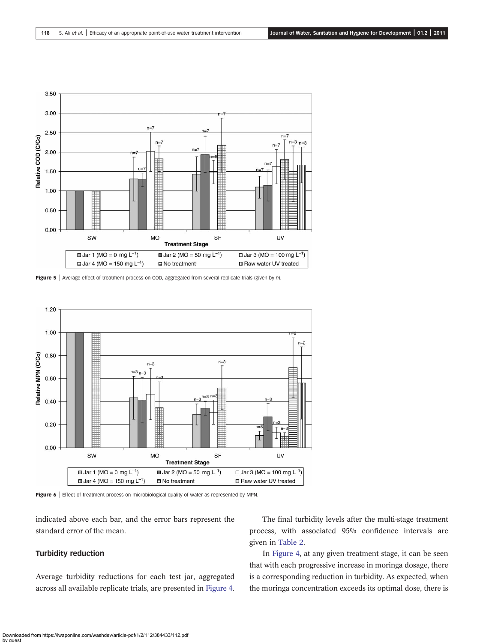<span id="page-6-0"></span>

Figure 5 | Average effect of treatment process on COD, aggregated from several replicate trials (given by n).



Figure 6 | Effect of treatment process on microbiological quality of water as represented by MPN.

indicated above each bar, and the error bars represent the standard error of the mean.

#### Turbidity reduction

Average turbidity reductions for each test jar, aggregated across all available replicate trials, are presented in [Figure 4](#page-5-0).

The final turbidity levels after the multi-stage treatment process, with associated 95% confidence intervals are given in [Table 2](#page-7-0).

In [Figure 4,](#page-5-0) at any given treatment stage, it can be seen that with each progressive increase in moringa dosage, there is a corresponding reduction in turbidity. As expected, when the moringa concentration exceeds its optimal dose, there is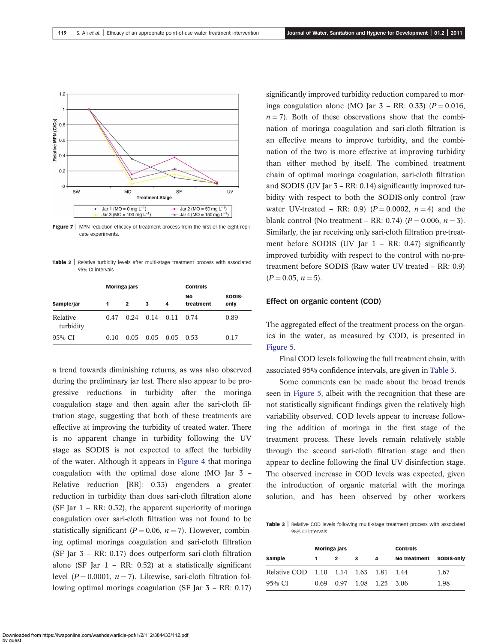<span id="page-7-0"></span>

Figure  $7$  | MPN reduction efficacy of treatment process from the first of the eight replicate experiments.

Table 2 | Relative turbidity levels after multi-stage treatment process with associated 95% CI intervals

|                       | <b>Moringa</b> jars |      |      | <b>Controls</b> |                        |                |
|-----------------------|---------------------|------|------|-----------------|------------------------|----------------|
| Sample/jar            | 1                   | 2    | 3    | 4               | <b>No</b><br>treatment | SODIS-<br>only |
| Relative<br>turbidity | 0.47                | 0.24 | 0.14 | 0.11            | 0.74                   | 0.89           |
| $95\%$ CI             | 0.10                | 0.05 | 0.05 | 0.05            | 0.53                   | 0.17           |

a trend towards diminishing returns, as was also observed during the preliminary jar test. There also appear to be progressive reductions in turbidity after the moringa coagulation stage and then again after the sari-cloth filtration stage, suggesting that both of these treatments are effective at improving the turbidity of treated water. There is no apparent change in turbidity following the UV stage as SODIS is not expected to affect the turbidity of the water. Although it appears in [Figure 4](#page-5-0) that moringa coagulation with the optimal dose alone (MO Jar 3 – Relative reduction [RR]: 0.33) engenders a greater reduction in turbidity than does sari-cloth filtration alone (SF Jar  $1 - RR$ : 0.52), the apparent superiority of moringa coagulation over sari-cloth filtration was not found to be statistically significant ( $P = 0.06$ ,  $n = 7$ ). However, combining optimal moringa coagulation and sari-cloth filtration (SF Jar 3 – RR: 0.17) does outperform sari-cloth filtration alone (SF Jar  $1 - RR$ : 0.52) at a statistically significant level ( $P = 0.0001$ ,  $n = 7$ ). Likewise, sari-cloth filtration following optimal moringa coagulation (SF Jar 3 – RR: 0.17)

significantly improved turbidity reduction compared to moringa coagulation alone (MO Jar  $3 - RR$ : 0.33) ( $P = 0.016$ ,  $n = 7$ ). Both of these observations show that the combination of moringa coagulation and sari-cloth filtration is an effective means to improve turbidity, and the combination of the two is more effective at improving turbidity than either method by itself. The combined treatment chain of optimal moringa coagulation, sari-cloth filtration and SODIS (UV Jar 3 – RR: 0.14) significantly improved turbidity with respect to both the SODIS-only control (raw water UV-treated – RR: 0.9) ( $P = 0.0002$ ,  $n = 4$ ) and the blank control (No treatment – RR: 0.74) ( $P = 0.006$ ,  $n = 3$ ). Similarly, the jar receiving only sari-cloth filtration pre-treatment before SODIS (UV Jar 1 – RR: 0.47) significantly improved turbidity with respect to the control with no-pretreatment before SODIS (Raw water UV-treated – RR: 0.9)  $(P = 0.05, n = 5).$ 

#### Effect on organic content (COD)

The aggregated effect of the treatment process on the organics in the water, as measured by COD, is presented in [Figure 5.](#page-6-0)

Final COD levels following the full treatment chain, with associated 95% confidence intervals, are given in Table 3.

Some comments can be made about the broad trends seen in [Figure 5](#page-6-0), albeit with the recognition that these are not statistically significant findings given the relatively high variability observed. COD levels appear to increase following the addition of moringa in the first stage of the treatment process. These levels remain relatively stable through the second sari-cloth filtration stage and then appear to decline following the final UV disinfection stage. The observed increase in COD levels was expected, given the introduction of organic material with the moringa solution, and has been observed by other workers

Table 3 | Relative COD levels following multi-stage treatment process with associated 95% CI intervals

|                                       | Moringa jars |              |   |                     | <b>Controls</b> |                   |  |
|---------------------------------------|--------------|--------------|---|---------------------|-----------------|-------------------|--|
| Sample                                |              | $\mathbf{2}$ | 3 | 4                   | No treatment    | <b>SODIS-only</b> |  |
| Relative COD 1.10 1.14 1.63 1.81 1.44 |              |              |   |                     |                 | 1.67              |  |
| $95\%$ CI                             | 0.69         |              |   | 0.97 1.08 1.25 3.06 |                 | 1.98              |  |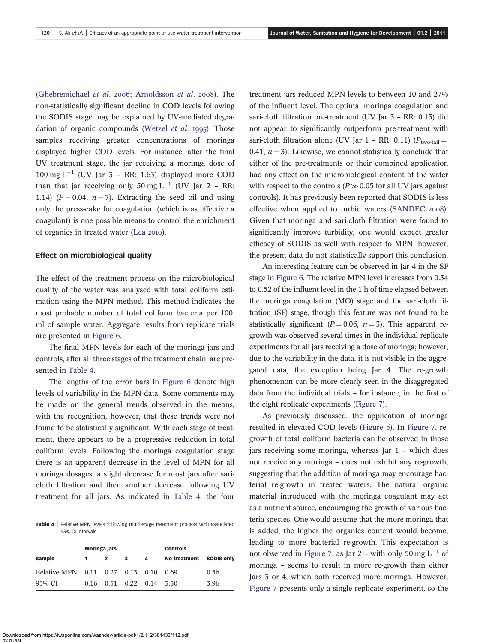([Ghebremichael](#page-10-0) et al. 2006; [Arnoldsson](#page-10-0) et al. 2008). The non-statistically significant decline in COD levels following the SODIS stage may be explained by UV-mediated degra-dation of organic compounds ([Wetzel](#page-11-0)  $et$   $al.$  1995). Those samples receiving greater concentrations of moringa displayed higher COD levels. For instance, after the final UV treatment stage, the jar receiving a moringa dose of  $100 \text{ mg } L^{-1}$  (UV Jar 3 – RR: 1.63) displayed more COD than that jar receiving only 50 mg  $L^{-1}$  (UV Jar 2 – RR: 1.14) ( $P = 0.04$ ,  $n = 7$ ). Extracting the seed oil and using only the press-cake for coagulation (which is as effective a coagulant) is one possible means to control the enrichment of organics in treated water (Lea 2010).

#### Effect on microbiological quality

The effect of the treatment process on the microbiological quality of the water was analysed with total coliform estimation using the MPN method. This method indicates the most probable number of total coliform bacteria per 100 ml of sample water. Aggregate results from replicate trials are presented in [Figure 6.](#page-6-0)

The final MPN levels for each of the moringa jars and controls, after all three stages of the treatment chain, are presented in Table 4.

The lengths of the error bars in [Figure 6](#page-6-0) denote high levels of variability in the MPN data. Some comments may be made on the general trends observed in the means, with the recognition, however, that these trends were not found to be statistically significant. With each stage of treatment, there appears to be a progressive reduction in total coliform levels. Following the moringa coagulation stage there is an apparent decrease in the level of MPN for all moringa dosages, a slight decrease for most jars after saricloth filtration and then another decrease following UV treatment for all jars. As indicated in Table 4, the four

Table 4 | Relative MPN levels following multi-stage treatment process with associated 95% CI intervals

|                                  | <b>Moringa jars</b> |                  |                                    |   | <b>Controls</b>         |      |  |
|----------------------------------|---------------------|------------------|------------------------------------|---|-------------------------|------|--|
| Sample                           |                     | $\boldsymbol{c}$ | 3                                  | 4 | No treatment SODIS-only |      |  |
| Relative MPN 0.11 0.27 0.13 0.10 |                     |                  |                                    |   | 0.69                    | 0.56 |  |
| $95\%$ CI                        |                     |                  | $0.16$ $0.51$ $0.22$ $0.14$ $3.30$ |   |                         | 3.96 |  |

treatment jars reduced MPN levels to between 10 and 27% of the influent level. The optimal moringa coagulation and sari-cloth filtration pre-treatment (UV Jar 3 – RR: 0.13) did not appear to significantly outperform pre-treatment with sari-cloth filtration alone (UV Jar 1 – RR: 0.11)  $(P_{two\text{-tail}})$ 0.41,  $n = 3$ ). Likewise, we cannot statistically conclude that either of the pre-treatments or their combined application had any effect on the microbiological content of the water with respect to the controls ( $P \gg 0.05$  for all UV jars against controls). It has previously been reported that SODIS is less effective when applied to turbid waters ([SANDEC](#page-11-0) 2008). Given that moringa and sari-cloth filtration were found to significantly improve turbidity, one would expect greater efficacy of SODIS as well with respect to MPN; however, the present data do not statistically support this conclusion.

An interesting feature can be observed in Jar 4 in the SF stage in [Figure 6.](#page-6-0) The relative MPN level increases from 0.34 to 0.52 of the influent level in the 1 h of time elapsed between the moringa coagulation (MO) stage and the sari-cloth filtration (SF) stage, though this feature was not found to be statistically significant ( $P = 0.06$ ,  $n = 3$ ). This apparent regrowth was observed several times in the individual replicate experiments for all jars receiving a dose of moringa; however, due to the variability in the data, it is not visible in the aggregated data, the exception being Jar 4. The re-growth phenomenon can be more clearly seen in the disaggregated data from the individual trials – for instance, in the first of the eight replicate experiments ([Figure 7\)](#page-7-0).

As previously discussed, the application of moringa resulted in elevated COD levels ([Figure 5\)](#page-6-0). In [Figure 7,](#page-7-0) regrowth of total coliform bacteria can be observed in those jars receiving some moringa, whereas Jar 1 – which does not receive any moringa – does not exhibit any re-growth, suggesting that the addition of moringa may encourage bacterial re-growth in treated waters. The natural organic material introduced with the moringa coagulant may act as a nutrient source, encouraging the growth of various bacteria species. One would assume that the more moringa that is added, the higher the organics content would become, leading to more bacterial re-growth. This expectation is not observed in [Figure 7,](#page-7-0) as Jar 2 – with only 50 mg  $L^{-1}$  of moringa – seems to result in more re-growth than either Jars 3 or 4, which both received more moringa. However, [Figure 7](#page-7-0) presents only a single replicate experiment, so the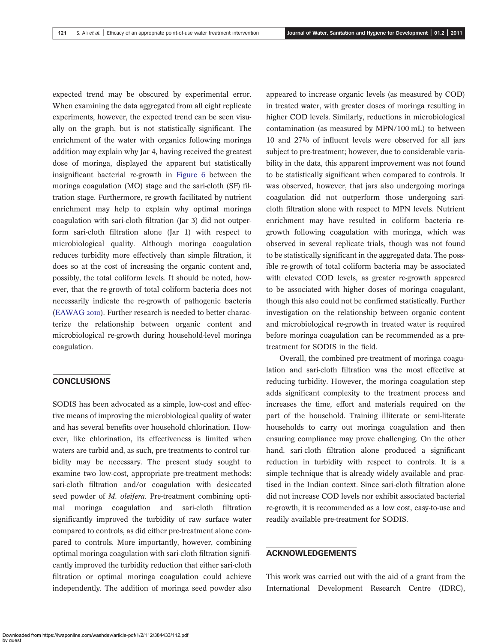expected trend may be obscured by experimental error. When examining the data aggregated from all eight replicate experiments, however, the expected trend can be seen visually on the graph, but is not statistically significant. The enrichment of the water with organics following moringa addition may explain why Jar 4, having received the greatest dose of moringa, displayed the apparent but statistically insignificant bacterial re-growth in [Figure 6](#page-6-0) between the moringa coagulation (MO) stage and the sari-cloth (SF) filtration stage. Furthermore, re-growth facilitated by nutrient enrichment may help to explain why optimal moringa coagulation with sari-cloth filtration (Jar 3) did not outperform sari-cloth filtration alone (Jar 1) with respect to microbiological quality. Although moringa coagulation reduces turbidity more effectively than simple filtration, it does so at the cost of increasing the organic content and, possibly, the total coliform levels. It should be noted, however, that the re-growth of total coliform bacteria does not necessarily indicate the re-growth of pathogenic bacteria [\(EAWAG](#page-10-0) 2010). Further research is needed to better characterize the relationship between organic content and microbiological re-growth during household-level moringa coagulation.

# **CONCLUSIONS**

SODIS has been advocated as a simple, low-cost and effective means of improving the microbiological quality of water and has several benefits over household chlorination. However, like chlorination, its effectiveness is limited when waters are turbid and, as such, pre-treatments to control turbidity may be necessary. The present study sought to examine two low-cost, appropriate pre-treatment methods: sari-cloth filtration and/or coagulation with desiccated seed powder of *M. oleifera*. Pre-treatment combining optimal moringa coagulation and sari-cloth filtration significantly improved the turbidity of raw surface water compared to controls, as did either pre-treatment alone compared to controls. More importantly, however, combining optimal moringa coagulation with sari-cloth filtration significantly improved the turbidity reduction that either sari-cloth filtration or optimal moringa coagulation could achieve independently. The addition of moringa seed powder also

appeared to increase organic levels (as measured by COD) in treated water, with greater doses of moringa resulting in higher COD levels. Similarly, reductions in microbiological contamination (as measured by MPN/100 mL) to between 10 and 27% of influent levels were observed for all jars subject to pre-treatment; however, due to considerable variability in the data, this apparent improvement was not found to be statistically significant when compared to controls. It was observed, however, that jars also undergoing moringa coagulation did not outperform those undergoing saricloth filtration alone with respect to MPN levels. Nutrient enrichment may have resulted in coliform bacteria regrowth following coagulation with moringa, which was observed in several replicate trials, though was not found to be statistically significant in the aggregated data. The possible re-growth of total coliform bacteria may be associated with elevated COD levels, as greater re-growth appeared to be associated with higher doses of moringa coagulant, though this also could not be confirmed statistically. Further investigation on the relationship between organic content and microbiological re-growth in treated water is required before moringa coagulation can be recommended as a pretreatment for SODIS in the field.

Overall, the combined pre-treatment of moringa coagulation and sari-cloth filtration was the most effective at reducing turbidity. However, the moringa coagulation step adds significant complexity to the treatment process and increases the time, effort and materials required on the part of the household. Training illiterate or semi-literate households to carry out moringa coagulation and then ensuring compliance may prove challenging. On the other hand, sari-cloth filtration alone produced a significant reduction in turbidity with respect to controls. It is a simple technique that is already widely available and practised in the Indian context. Since sari-cloth filtration alone did not increase COD levels nor exhibit associated bacterial re-growth, it is recommended as a low cost, easy-to-use and readily available pre-treatment for SODIS.

## ACKNOWLEDGEMENTS

This work was carried out with the aid of a grant from the International Development Research Centre (IDRC),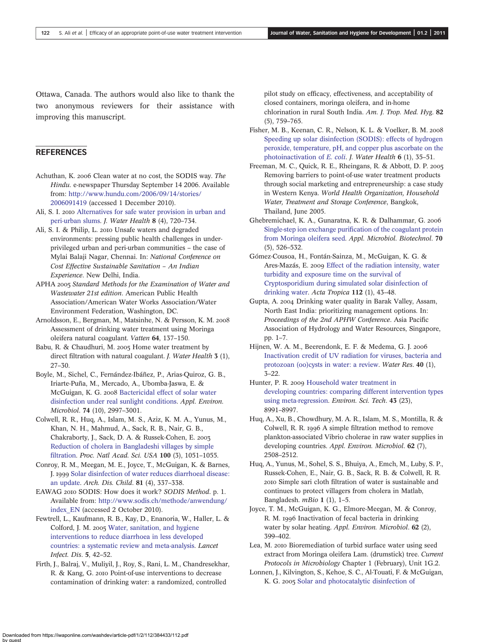<span id="page-10-0"></span>Ottawa, Canada. The authors would also like to thank the two anonymous reviewers for their assistance with improving this manuscript.

# **REFERENCES**

- Achuthan, K. 2006 Clean water at no cost, the SODIS way. The Hindu. e-newspaper Thursday September 14 2006. Available from: [http://www.hundu.com/2006/09/14/stories/](http://www.hundu.com/2006/09/14/stories/2006091419) [2006091419](http://www.hundu.com/2006/09/14/stories/2006091419) (accessed 1 December 2010).
- Ali, S. I. 2010 [Alternatives for safe water provision in urban and](http://dx.doi.org/10.2166/wh.2010.141) [peri-urban slums.](http://dx.doi.org/10.2166/wh.2010.141) J. Water Health 8 (4), 720–734.
- Ali, S. I. & Philip, L. 2010 Unsafe waters and degraded environments: pressing public health challenges in underprivileged urban and peri-urban communities – the case of Mylai Balaji Nagar, Chennai. In: National Conference on Cost Effective Sustainable Sanitation – An Indian Experience. New Delhi, India.
- APHA 2005 Standard Methods for the Examination of Water and Wastewater 21st edition. American Public Health Association/American Water Works Association/Water Environment Federation, Washington, DC.
- Arnoldsson, E., Bergman, M., Matsinhe, N. & Persson, K. M. Assessment of drinking water treatment using Moringa oleifera natural coagulant. Vatten 64, 137–150.
- Babu, R. & Chaudhuri, M. 2005 Home water treatment by direct filtration with natural coagulant. *J. Water Health* **3** (1), 27–30.
- Boyle, M., Sichel, C., Fernández-Ibáñez, P., Arias-Quiroz, G. B., Iriarte-Puña, M., Mercado, A., Ubomba-Jaswa, E. & McGuigan, K. G. 2008 [Bactericidal effect of solar water](http://dx.doi.org/10.1128/AEM.02415-07) [disinfection under real sunlight conditions.](http://dx.doi.org/10.1128/AEM.02415-07) Appl. Environ. Microbiol. 74 (10), 2997–3001.
- Colwell, R. R., Huq, A., Islam, M. S., Aziz, K. M. A., Yunus, M., Khan, N. H., Mahmud, A., Sack, R. B., Nair, G. B., Chakraborty, J., Sack, D. A. & Russek-Cohen, E. [Reduction of cholera in Bangladeshi villages by simple](http://dx.doi.org/10.1073/pnas.0237386100) fi[ltration](http://dx.doi.org/10.1073/pnas.0237386100). Proc. Natl Acad. Sci. USA 100 (3), 1051–1055.
- Conroy, R. M., Meegan, M. E., Joyce, T., McGuigan, K. & Barnes, J. 1999 [Solar disinfection of water reduces diarrhoeal disease:](http://dx.doi.org/10.1136/adc.81.4.337) [an update](http://dx.doi.org/10.1136/adc.81.4.337). Arch. Dis. Child. 81 (4), 337–338.
- EAWAG 2010 SODIS: How does it work? SODIS Method. p. 1. Available from: [http://www.sodis.ch/methode/anwendung/](http://www.sodis.ch/methode/anwendung/index_EN) [index\\_EN](http://www.sodis.ch/methode/anwendung/index_EN) (accessed 2 October 2010).
- Fewtrell, L., Kaufmann, R. B., Kay, D., Enanoria, W., Haller, L. & Colford, J. M. 2005 [Water, sanitation, and hygiene](http://dx.doi.org/10.1016/S1473-3099(04)01253-8) [interventions to reduce diarrhoea in less developed](http://dx.doi.org/10.1016/S1473-3099(04)01253-8) [countries: a systematic review and meta-analysis.](http://dx.doi.org/10.1016/S1473-3099(04)01253-8) Lancet Infect. Dis. 5, 42–52.
- Firth, J., Balraj, V., Muliyil, J., Roy, S., Rani, L. M., Chandresekhar, R. & Kang, G. 2010 Point-of-use interventions to decrease contamination of drinking water: a randomized, controlled

pilot study on efficacy, effectiveness, and acceptability of closed containers, moringa oleifera, and in-home chlorination in rural South India. Am. J. Trop. Med. Hyg. 82 (5), 759–765.

- Fisher, M. B., Keenan, C. R., Nelson, K. L. & Voelker, B. M. [Speeding up solar disinfection \(SODIS\): effects of hydrogen](http://dx.doi.org/10.2166/wh.2007.005) [peroxide, temperature, pH, and copper plus ascorbate on the](http://dx.doi.org/10.2166/wh.2007.005) [photoinactivation of](http://dx.doi.org/10.2166/wh.2007.005) E. coli. J. Water Health 6 (1), 35–51.
- Freeman, M. C., Quick, R. E., Rheingans, R. & Abbott, D. P. Removing barriers to point-of-use water treatment products through social marketing and entrepreneurship: a case study in Western Kenya. World Health Organization, Household Water, Treatment and Storage Conference, Bangkok, Thailand, June 2005.
- Ghebremichael, K. A., Gunaratna, K. R. & Dalhammar, G. Single-step ion exchange purifi[cation of the coagulant protein](http://dx.doi.org/10.1007/s00253-005-0130-7) [from Moringa oleifera seed.](http://dx.doi.org/10.1007/s00253-005-0130-7) Appl. Microbiol. Biotechnol. 70 (5), 526–532.
- Gómez-Cousoa, H., Fontán-Sainza, M., McGuigan, K. G. & Ares-Mazás, E. 2009 [Effect of the radiation intensity, water](http://dx.doi.org/10.1016/j.actatropica.2009.06.004) [turbidity and exposure time on the survival of](http://dx.doi.org/10.1016/j.actatropica.2009.06.004) [Cryptosporidium during simulated solar disinfection of](http://dx.doi.org/10.1016/j.actatropica.2009.06.004) [drinking water.](http://dx.doi.org/10.1016/j.actatropica.2009.06.004) Acta Tropica 112 (1), 43–48.
- Gupta, A. 2004 Drinking water quality in Barak Valley, Assam, North East India: prioritizing management options. In: Proceedings of the 2nd APHW Conference. Asia Pacific Association of Hydrology and Water Resources, Singapore, pp. 1–7.
- Hijnen, W. A. M., Beerendonk, E. F. & Medema, G. J. 2006 [Inactivation credit of UV radiation for viruses, bacteria and](http://dx.doi.org/10.1016/j.watres.2005.10.030) [protozoan \(oo\)cysts in water: a review.](http://dx.doi.org/10.1016/j.watres.2005.10.030) Water Res. 40 (1), 3–22.
- Hunter, P. R. 2009 [Household water treatment in](http://dx.doi.org/10.1021/es9028217) [developing countries: comparing different intervention types](http://dx.doi.org/10.1021/es9028217) [using meta-regression](http://dx.doi.org/10.1021/es9028217). Environ. Sci. Tech. 43 (23), 8991–8997.
- Huq, A., Xu, B., Chowdhury, M. A. R., Islam, M. S., Montilla, R. & Colwell, R. R. 1996 A simple filtration method to remove plankton-associated Vibrio cholerae in raw water supplies in developing countries. Appl. Environ. Microbiol. 62 (7), 2508–2512.
- Huq, A., Yunus, M., Sohel, S. S., Bhuiya, A., Emch, M., Luby, S. P., Russek-Cohen, E., Nair, G. B., Sack, R. B. & Colwell, R. R. Simple sari cloth filtration of water is sustainable and continues to protect villagers from cholera in Matlab, Bangladesh.  $mBio 1 (1), 1-5.$
- Joyce, T. M., McGuigan, K. G., Elmore-Meegan, M. & Conroy, R. M. 1996 Inactivation of fecal bacteria in drinking water by solar heating. Appl. Environ. Microbiol. 62 (2), 399–402.
- Lea, M. 2010 Bioremediation of turbid surface water using seed extract from Moringa oleifera Lam. (drumstick) tree. Current Protocols in Microbiology Chapter 1 (February), Unit 1G.2.
- Lonnen, J., Kilvington, S., Kehoe, S. C., Al-Touati, F. & McGuigan, K. G. 2005 [Solar and photocatalytic disinfection of](http://dx.doi.org/10.1016/j.watres.2004.11.023)